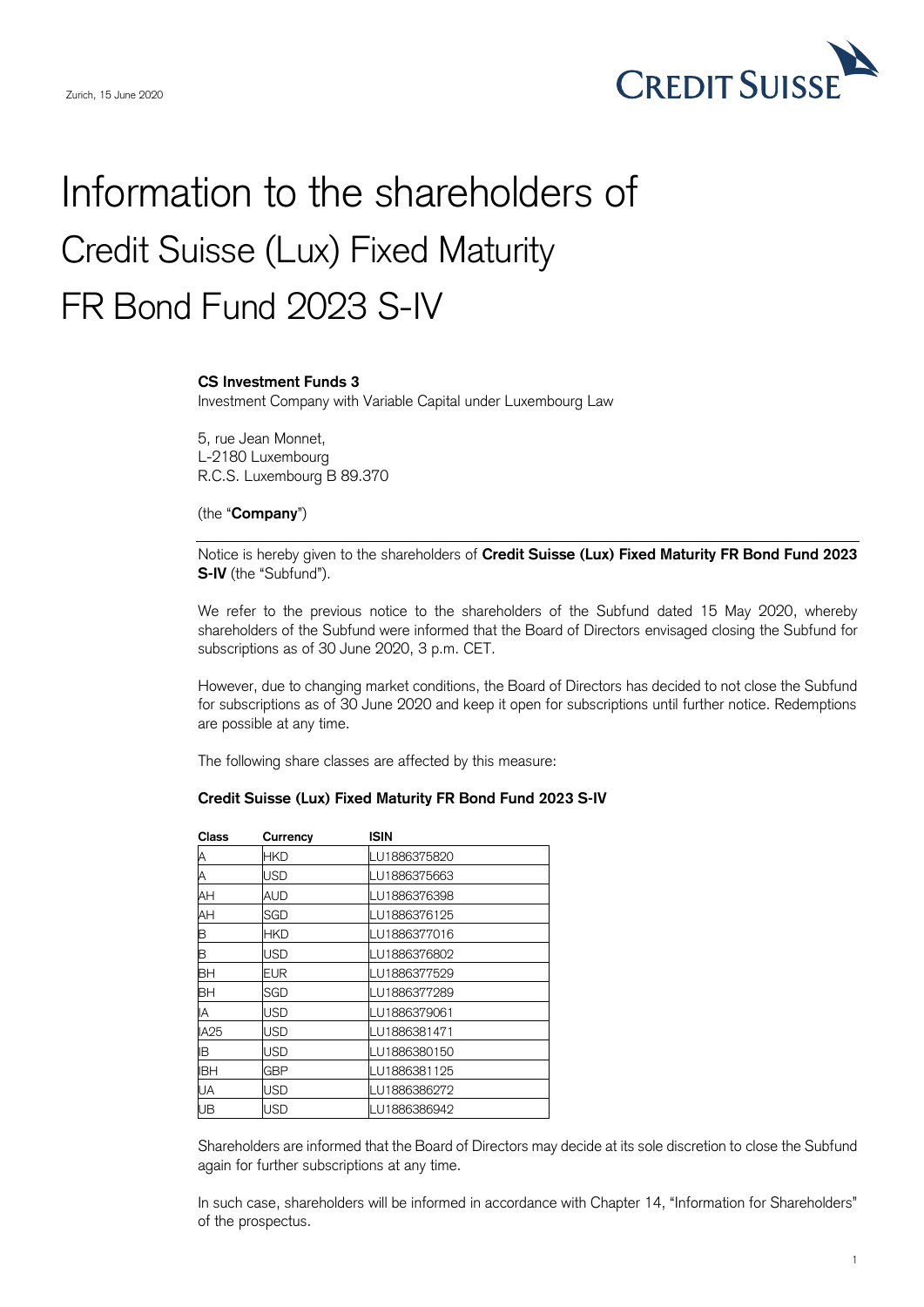

## Information to the shareholders of Credit Suisse (Lux) Fixed Maturity FR Bond Fund 2023 S-IV

## **CS Investment Funds 3**

Investment Company with Variable Capital under Luxembourg Law

5, rue Jean Monnet, L-2180 Luxembourg R.C.S. Luxembourg B 89.370

## (the "**Company**")

Notice is hereby given to the shareholders of **Credit Suisse (Lux) Fixed Maturity FR Bond Fund 2023 S-IV** (the "Subfund").

We refer to the previous notice to the shareholders of the Subfund dated 15 May 2020, whereby shareholders of the Subfund were informed that the Board of Directors envisaged closing the Subfund for subscriptions as of 30 June 2020, 3 p.m. CET.

However, due to changing market conditions, the Board of Directors has decided to not close the Subfund for subscriptions as of 30 June 2020 and keep it open for subscriptions until further notice. Redemptions are possible at any time.

The following share classes are affected by this measure:

## **Credit Suisse (Lux) Fixed Maturity FR Bond Fund 2023 S-IV**

| Class          | Currency   | <b>ISIN</b>  |
|----------------|------------|--------------|
|                | <b>HKD</b> | LU1886375820 |
| A<br>A         | <b>USD</b> | LU1886375663 |
| AH             | AUD        | LU1886376398 |
| AH             | SGD        | LU1886376125 |
| $\overline{B}$ | <b>HKD</b> | LU1886377016 |
| B              | <b>USD</b> | LU1886376802 |
| BH             | <b>EUR</b> | LU1886377529 |
| BH             | SGD        | LU1886377289 |
| IA             | <b>USD</b> | LU1886379061 |
| <b>IA25</b>    | <b>USD</b> | LU1886381471 |
| IB             | <b>USD</b> | LU1886380150 |
| <b>IBH</b>     | GBP        | LU1886381125 |
| UA             | <b>USD</b> | LU1886386272 |
| UB             | USD        | LU1886386942 |

Shareholders are informed that the Board of Directors may decide at its sole discretion to close the Subfund again for further subscriptions at any time.

In such case, shareholders will be informed in accordance with Chapter 14, "Information for Shareholders" of the prospectus.